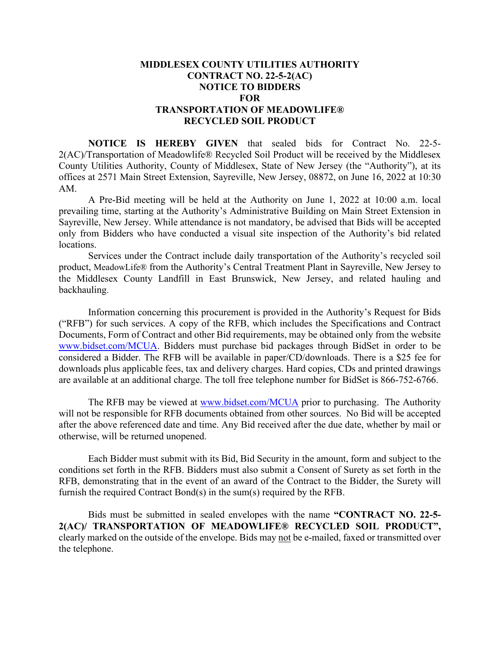## **MIDDLESEX COUNTY UTILITIES AUTHORITY CONTRACT NO. 22-5-2(AC) NOTICE TO BIDDERS FOR TRANSPORTATION OF MEADOWLIFE® RECYCLED SOIL PRODUCT**

**NOTICE IS HEREBY GIVEN** that sealed bids for Contract No. 22-5- 2(AC)/Transportation of Meadowlife® Recycled Soil Product will be received by the Middlesex County Utilities Authority, County of Middlesex, State of New Jersey (the "Authority"), at its offices at 2571 Main Street Extension, Sayreville, New Jersey, 08872, on June 16, 2022 at 10:30 AM.

A Pre-Bid meeting will be held at the Authority on June 1, 2022 at 10:00 a.m. local prevailing time, starting at the Authority's Administrative Building on Main Street Extension in Sayreville, New Jersey. While attendance is not mandatory, be advised that Bids will be accepted only from Bidders who have conducted a visual site inspection of the Authority's bid related locations.

Services under the Contract include daily transportation of the Authority's recycled soil product, MeadowLife® from the Authority's Central Treatment Plant in Sayreville, New Jersey to the Middlesex County Landfill in East Brunswick, New Jersey, and related hauling and backhauling.

Information concerning this procurement is provided in the Authority's Request for Bids ("RFB") for such services. A copy of the RFB, which includes the Specifications and Contract Documents, Form of Contract and other Bid requirements, may be obtained only from the website [www.bidset.com/MCUA.](http://www.bidset.com/MCUA) Bidders must purchase bid packages through BidSet in order to be considered a Bidder. The RFB will be available in paper/CD/downloads. There is a \$25 fee for downloads plus applicable fees, tax and delivery charges. Hard copies, CDs and printed drawings are available at an additional charge. The toll free telephone number for BidSet is 866-752-6766.

The RFB may be viewed at [www.bidset.com/MCUA](http://www.bidset.com/MCUA) prior to purchasing. The Authority will not be responsible for RFB documents obtained from other sources. No Bid will be accepted after the above referenced date and time. Any Bid received after the due date, whether by mail or otherwise, will be returned unopened.

Each Bidder must submit with its Bid, Bid Security in the amount, form and subject to the conditions set forth in the RFB. Bidders must also submit a Consent of Surety as set forth in the RFB, demonstrating that in the event of an award of the Contract to the Bidder, the Surety will furnish the required Contract Bond(s) in the sum(s) required by the RFB.

Bids must be submitted in sealed envelopes with the name **"CONTRACT NO. 22-5- 2(AC)/ TRANSPORTATION OF MEADOWLIFE® RECYCLED SOIL PRODUCT",** clearly marked on the outside of the envelope. Bids may not be e-mailed, faxed or transmitted over the telephone.